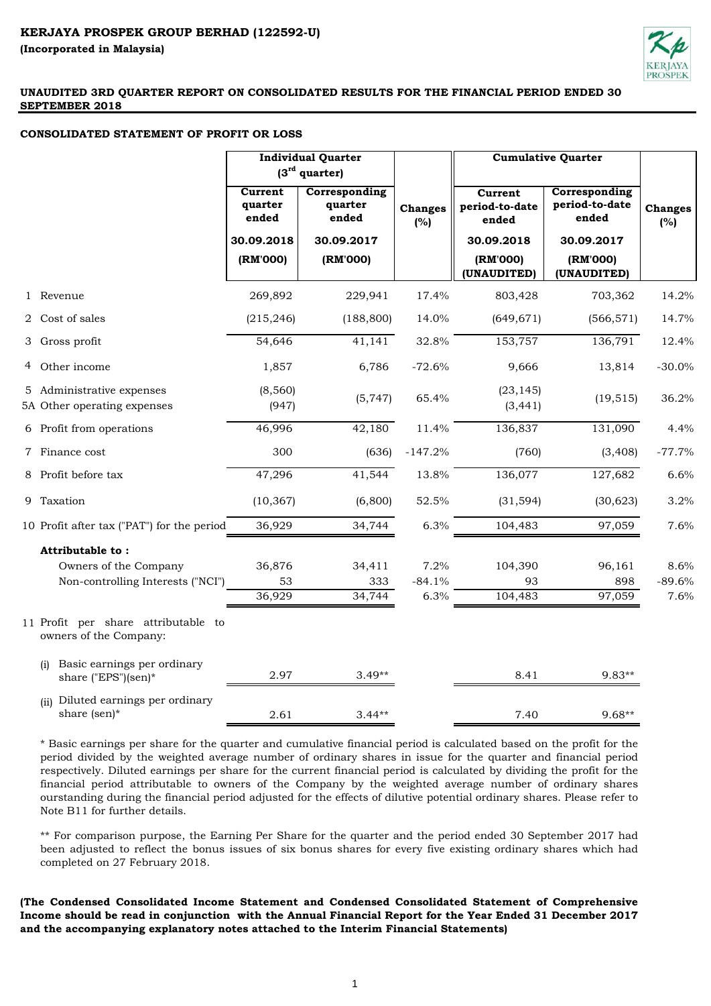

#### **CONSOLIDATED STATEMENT OF PROFIT OR LOSS**

|                                                                                | <b>Individual Quarter</b><br>$(3rd$ quarter) |                                   |                          | <b>Cumulative Quarter</b>             |                                          |                          |
|--------------------------------------------------------------------------------|----------------------------------------------|-----------------------------------|--------------------------|---------------------------------------|------------------------------------------|--------------------------|
|                                                                                | Current<br>quarter<br>ended                  | Corresponding<br>quarter<br>ended | <b>Changes</b><br>(%)    | Current<br>period-to-date<br>ended    | Corresponding<br>period-to-date<br>ended | <b>Changes</b><br>(%)    |
|                                                                                | 30.09.2018<br>(RM'000)                       | 30.09.2017<br>(RM'000)            |                          | 30.09.2018<br>(RM'000)<br>(UNAUDITED) | 30.09.2017<br>(RM'000)<br>(UNAUDITED)    |                          |
| 1 Revenue                                                                      | 269,892                                      | 229,941                           | 17.4%                    | 803,428                               | 703,362                                  | 14.2%                    |
| 2 Cost of sales                                                                | (215, 246)                                   | (188, 800)                        | 14.0%                    | (649, 671)                            | (566, 571)                               | 14.7%                    |
| 3 Gross profit                                                                 | 54,646                                       | 41,141                            | 32.8%                    | 153,757                               | 136,791                                  | 12.4%                    |
| 4 Other income                                                                 | 1,857                                        | 6,786                             | $-72.6%$                 | 9,666                                 | 13,814                                   | $-30.0%$                 |
| 5 Administrative expenses<br>5A Other operating expenses                       | (8,560)<br>(947)                             | (5, 747)                          | 65.4%                    | (23, 145)<br>(3, 441)                 | (19, 515)                                | 36.2%                    |
| 6 Profit from operations                                                       | 46,996                                       | 42,180                            | 11.4%                    | 136,837                               | 131,090                                  | 4.4%                     |
| 7 Finance cost                                                                 | 300                                          | (636)                             | $-147.2%$                | (760)                                 | (3, 408)                                 | $-77.7%$                 |
| 8 Profit before tax                                                            | 47,296                                       | 41,544                            | 13.8%                    | 136,077                               | 127,682                                  | 6.6%                     |
| 9 Taxation                                                                     | (10, 367)                                    | (6,800)                           | 52.5%                    | (31, 594)                             | (30, 623)                                | 3.2%                     |
| 10 Profit after tax ("PAT") for the period                                     | 36,929                                       | 34,744                            | 6.3%                     | 104,483                               | 97,059                                   | 7.6%                     |
| Attributable to:<br>Owners of the Company<br>Non-controlling Interests ("NCI") | 36,876<br>53<br>36,929                       | 34,411<br>333<br>34,744           | 7.2%<br>$-84.1%$<br>6.3% | 104,390<br>93<br>104,483              | 96,161<br>898<br>97,059                  | 8.6%<br>$-89.6%$<br>7.6% |
| 11 Profit per share attributable to<br>owners of the Company:                  |                                              |                                   |                          |                                       |                                          |                          |
| Basic earnings per ordinary<br>(i)<br>share ("EPS")(sen)*                      | 2.97                                         | $3.49**$                          |                          | 8.41                                  | $9.83**$                                 |                          |
| (ii) Diluted earnings per ordinary<br>share (sen)*                             | 2.61                                         | $3.44**$                          |                          | 7.40                                  | 9.68**                                   |                          |

\* Basic earnings per share for the quarter and cumulative financial period is calculated based on the profit for the period divided by the weighted average number of ordinary shares in issue for the quarter and financial period respectively. Diluted earnings per share for the current financial period is calculated by dividing the profit for the financial period attributable to owners of the Company by the weighted average number of ordinary shares ourstanding during the financial period adjusted for the effects of dilutive potential ordinary shares. Please refer to Note B11 for further details.

\*\* For comparison purpose, the Earning Per Share for the quarter and the period ended 30 September 2017 had been adjusted to reflect the bonus issues of six bonus shares for every five existing ordinary shares which had completed on 27 February 2018.

**(The Condensed Consolidated Income Statement and Condensed Consolidated Statement of Comprehensive** Income should be read in conjunction with the Annual Financial Report for the Year Ended 31 December 2017 **and the accompanying explanatory notes attached to the Interim Financial Statements)**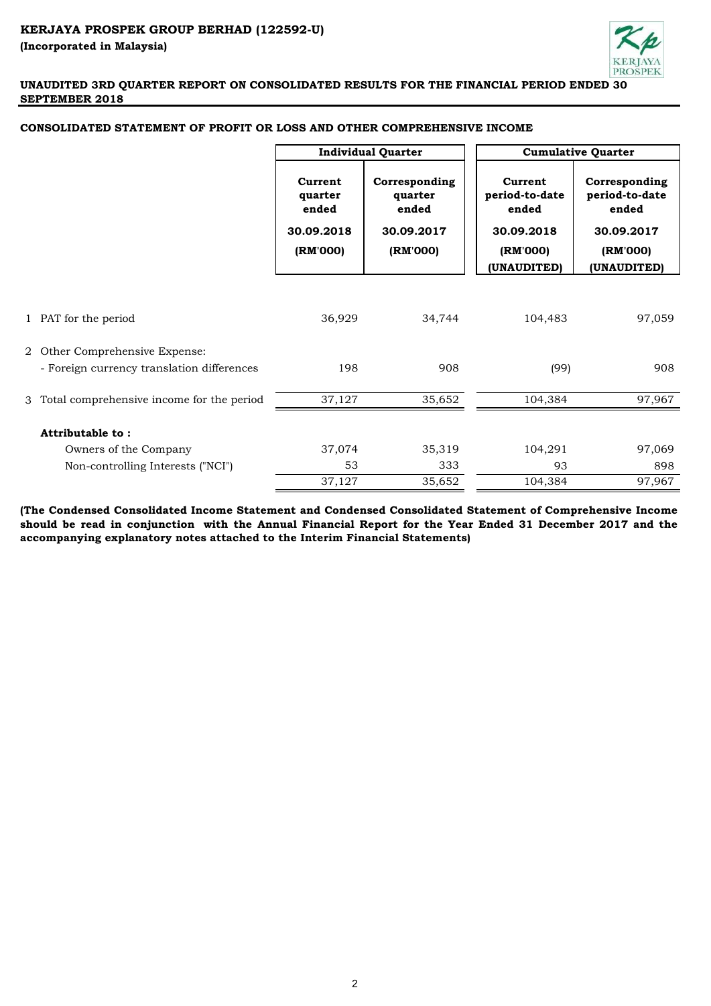

|   |                                                                            | <b>Individual Quarter</b>                             |                                                             | <b>Cumulative Quarter</b>                                    |                                                                    |  |
|---|----------------------------------------------------------------------------|-------------------------------------------------------|-------------------------------------------------------------|--------------------------------------------------------------|--------------------------------------------------------------------|--|
|   |                                                                            | Current<br>quarter<br>ended<br>30.09.2018<br>(RM'000) | Corresponding<br>quarter<br>ended<br>30.09.2017<br>(RM'000) | Current<br>period-to-date<br>ended<br>30.09.2018<br>(RM'000) | Corresponding<br>period-to-date<br>ended<br>30.09.2017<br>(RM'000) |  |
|   |                                                                            |                                                       |                                                             | (UNAUDITED)                                                  | (UNAUDITED)                                                        |  |
|   | 1 PAT for the period                                                       | 36,929                                                | 34,744                                                      | 104,483                                                      | 97,059                                                             |  |
| 2 | Other Comprehensive Expense:<br>- Foreign currency translation differences | 198                                                   | 908                                                         | (99)                                                         | 908                                                                |  |
| 3 | Total comprehensive income for the period                                  | 37,127                                                | 35,652                                                      | 104,384                                                      | 97,967                                                             |  |
|   | Attributable to:                                                           |                                                       |                                                             |                                                              |                                                                    |  |
|   | Owners of the Company                                                      | 37,074                                                | 35,319                                                      | 104,291                                                      | 97,069                                                             |  |
|   | Non-controlling Interests ("NCI")                                          | 53                                                    | 333                                                         | 93                                                           | 898                                                                |  |
|   |                                                                            | 37,127                                                | 35,652                                                      | 104,384                                                      | 97,967                                                             |  |

# **CONSOLIDATED STATEMENT OF PROFIT OR LOSS AND OTHER COMPREHENSIVE INCOME**

**(The Condensed Consolidated Income Statement and Condensed Consolidated Statement of Comprehensive Income** should be read in conjunction with the Annual Financial Report for the Year Ended 31 December 2017 and the **accompanying explanatory notes attached to the Interim Financial Statements)**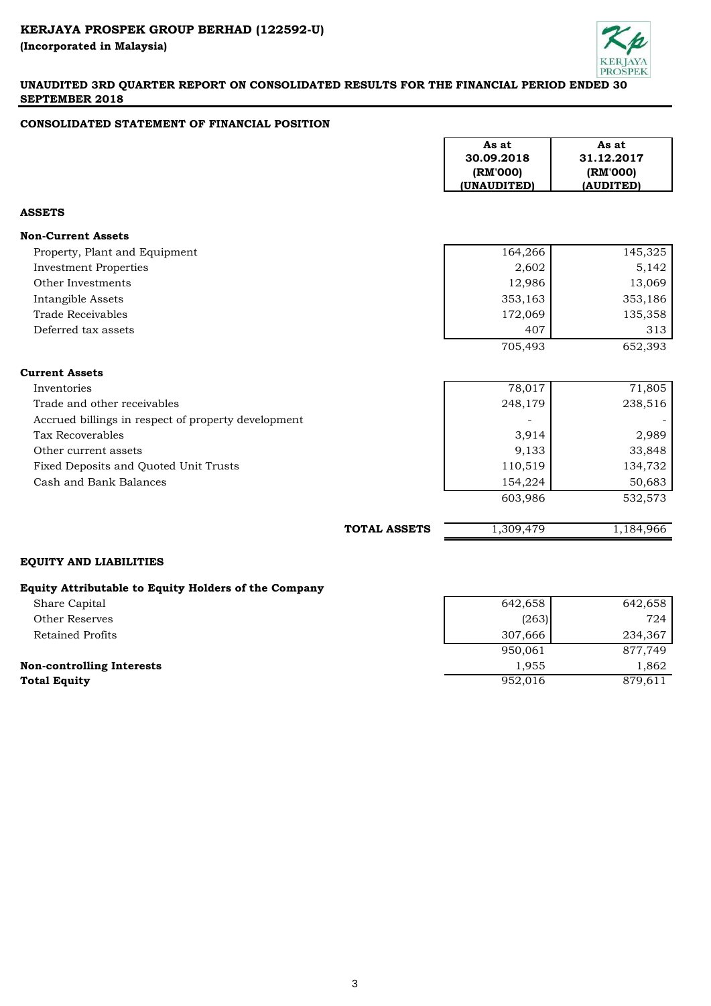

# **CONSOLIDATED STATEMENT OF FINANCIAL POSITION**

|                                                      |                     | As at<br>30.09.2018<br>(RM'000)<br>(UNAUDITED) | As at<br>31.12.2017<br>(RM'000)<br>(AUDITED) |
|------------------------------------------------------|---------------------|------------------------------------------------|----------------------------------------------|
| <b>ASSETS</b>                                        |                     |                                                |                                              |
| <b>Non-Current Assets</b>                            |                     |                                                |                                              |
| Property, Plant and Equipment                        |                     | 164,266                                        | 145,325                                      |
| <b>Investment Properties</b>                         |                     | 2,602                                          | 5,142                                        |
| Other Investments                                    |                     | 12,986                                         | 13,069                                       |
| Intangible Assets                                    |                     | 353,163                                        | 353,186                                      |
| <b>Trade Receivables</b>                             |                     | 172,069                                        | 135,358                                      |
| Deferred tax assets                                  |                     | 407                                            | 313                                          |
|                                                      |                     | 705,493                                        | 652,393                                      |
| <b>Current Assets</b>                                |                     |                                                |                                              |
| Inventories                                          |                     | 78,017                                         | 71,805                                       |
| Trade and other receivables                          |                     | 248,179                                        | 238,516                                      |
| Accrued billings in respect of property development  |                     |                                                |                                              |
| Tax Recoverables                                     |                     | 3,914                                          | 2,989                                        |
| Other current assets                                 |                     | 9,133                                          | 33,848                                       |
| Fixed Deposits and Quoted Unit Trusts                |                     | 110,519                                        | 134,732                                      |
| Cash and Bank Balances                               |                     | 154,224                                        | 50,683                                       |
|                                                      |                     | 603,986                                        | 532,573                                      |
|                                                      | <b>TOTAL ASSETS</b> | 1,309,479                                      | 1,184,966                                    |
| <b>EQUITY AND LIABILITIES</b>                        |                     |                                                |                                              |
| Equity Attributable to Equity Holders of the Company |                     |                                                |                                              |
| Share Capital                                        |                     | 642,658                                        | 642,658                                      |
| <b>Other Reserves</b>                                |                     | (263)                                          | 724                                          |
| <b>Retained Profits</b>                              |                     | 307,666                                        | 234,367                                      |
|                                                      |                     | 950,061                                        | 877,749                                      |

**Non-controlling Interests** 1,955 1,862 **Total Equity** 879,611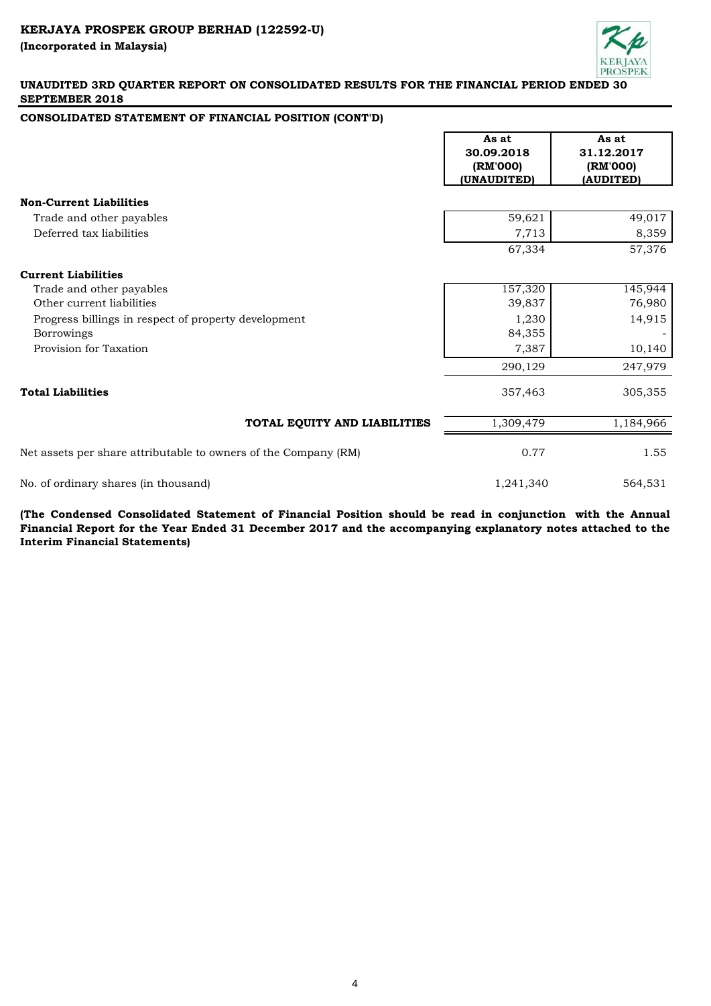

# **CONSOLIDATED STATEMENT OF FINANCIAL POSITION (CONT'D)**

|                                                                 | As at<br>30.09.2018<br>(RM'000)<br>(UNAUDITED) | As at<br>31.12.2017<br>(RM'000)<br>(AUDITED) |
|-----------------------------------------------------------------|------------------------------------------------|----------------------------------------------|
| <b>Non-Current Liabilities</b>                                  |                                                |                                              |
| Trade and other payables                                        | 59,621                                         | 49,017                                       |
| Deferred tax liabilities                                        | 7,713                                          | 8,359                                        |
|                                                                 | 67,334                                         | 57,376                                       |
| <b>Current Liabilities</b>                                      |                                                |                                              |
| Trade and other payables                                        | 157,320                                        | 145,944                                      |
| Other current liabilities                                       | 39,837                                         | 76,980                                       |
| Progress billings in respect of property development            | 1,230                                          | 14,915                                       |
| Borrowings                                                      | 84,355                                         |                                              |
| Provision for Taxation                                          | 7,387                                          | 10,140                                       |
|                                                                 | 290,129                                        | 247,979                                      |
| <b>Total Liabilities</b>                                        | 357,463                                        | 305,355                                      |
| TOTAL EQUITY AND LIABILITIES                                    | 1,309,479                                      | 1,184,966                                    |
| Net assets per share attributable to owners of the Company (RM) | 0.77                                           | 1.55                                         |
| No. of ordinary shares (in thousand)                            | 1,241,340                                      | 564,531                                      |

**(The Condensed Consolidated Statement of Financial Position should be read in conjunction with the Annual** Financial Report for the Year Ended 31 December 2017 and the accompanying explanatory notes attached to the **Interim Financial Statements)**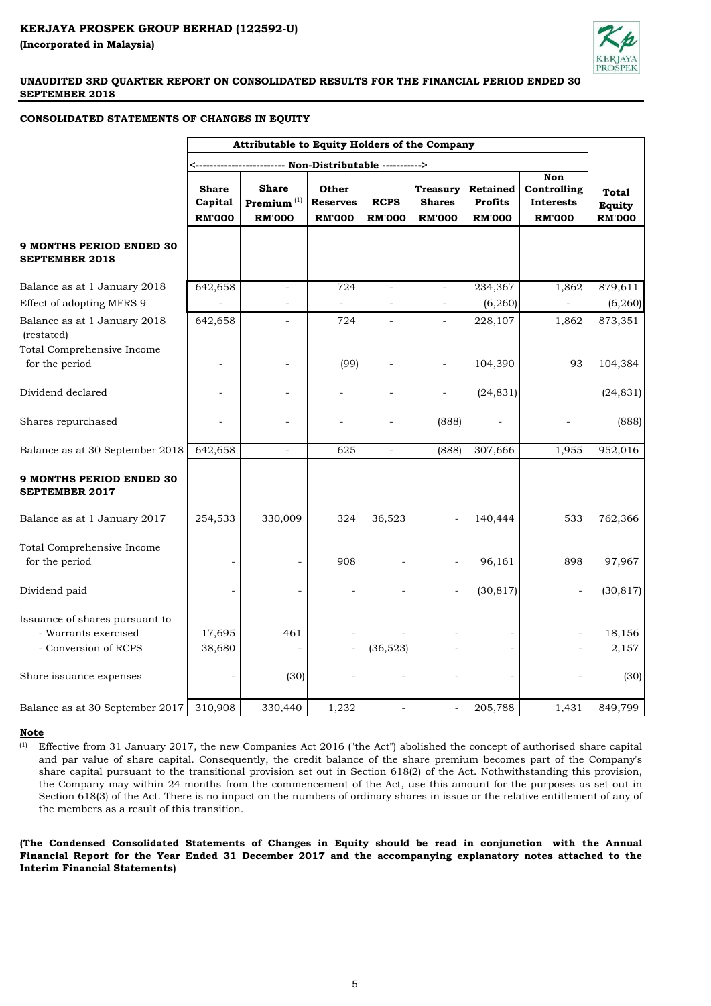

### **CONSOLIDATED STATEMENTS OF CHANGES IN EQUITY**

|                                                                                | Attributable to Equity Holders of the Company |                                                   |                                           |                              |                                            |                                                    |                                                                |                                                |
|--------------------------------------------------------------------------------|-----------------------------------------------|---------------------------------------------------|-------------------------------------------|------------------------------|--------------------------------------------|----------------------------------------------------|----------------------------------------------------------------|------------------------------------------------|
|                                                                                |                                               |                                                   |                                           |                              |                                            |                                                    |                                                                |                                                |
|                                                                                | <b>Share</b><br>Capital<br><b>RM'000</b>      | <b>Share</b><br>Premium $^{(1)}$<br><b>RM'000</b> | Other<br><b>Reserves</b><br><b>RM'000</b> | <b>RCPS</b><br><b>RM'000</b> | Treasury<br><b>Shares</b><br><b>RM'000</b> | <b>Retained</b><br><b>Profits</b><br><b>RM'000</b> | <b>Non</b><br>Controlling<br><b>Interests</b><br><b>RM'000</b> | <b>Total</b><br><b>Equity</b><br><b>RM'000</b> |
| <b>9 MONTHS PERIOD ENDED 30</b><br><b>SEPTEMBER 2018</b>                       |                                               |                                                   |                                           |                              |                                            |                                                    |                                                                |                                                |
| Balance as at 1 January 2018                                                   | 642,658                                       | $\overline{\phantom{a}}$                          | 724                                       | $\overline{\phantom{a}}$     |                                            | 234,367                                            | 1,862                                                          | 879,611                                        |
| Effect of adopting MFRS 9                                                      |                                               | $\overline{a}$                                    |                                           | $\overline{\phantom{a}}$     | $\overline{\phantom{a}}$                   | (6, 260)                                           |                                                                | (6, 260)                                       |
| Balance as at 1 January 2018<br>(restated)                                     | 642,658                                       | $\overline{a}$                                    | 724                                       | $\overline{\phantom{a}}$     |                                            | 228,107                                            | 1,862                                                          | 873,351                                        |
| Total Comprehensive Income<br>for the period                                   |                                               |                                                   | (99)                                      |                              |                                            | 104,390                                            | 93                                                             | 104,384                                        |
| Dividend declared                                                              |                                               |                                                   |                                           |                              |                                            | (24, 831)                                          |                                                                | (24, 831)                                      |
| Shares repurchased                                                             |                                               |                                                   | $\overline{a}$                            | $\overline{a}$               | (888)                                      |                                                    |                                                                | (888)                                          |
| Balance as at 30 September 2018                                                | 642,658                                       | $\overline{\phantom{a}}$                          | 625                                       | $\overline{\phantom{a}}$     | (888)                                      | 307,666                                            | 1,955                                                          | 952,016                                        |
| <b>9 MONTHS PERIOD ENDED 30</b><br><b>SEPTEMBER 2017</b>                       |                                               |                                                   |                                           |                              |                                            |                                                    |                                                                |                                                |
| Balance as at 1 January 2017                                                   | 254,533                                       | 330,009                                           | 324                                       | 36,523                       |                                            | 140,444                                            | 533                                                            | 762,366                                        |
| Total Comprehensive Income<br>for the period                                   |                                               |                                                   | 908                                       |                              |                                            | 96,161                                             | 898                                                            | 97,967                                         |
| Dividend paid                                                                  |                                               |                                                   |                                           |                              |                                            | (30, 817)                                          |                                                                | (30, 817)                                      |
| Issuance of shares pursuant to<br>- Warrants exercised<br>- Conversion of RCPS | 17,695<br>38,680                              | 461                                               |                                           | (36,523)                     |                                            |                                                    |                                                                | 18,156<br>2,157                                |
| Share issuance expenses                                                        |                                               | (30)                                              |                                           |                              |                                            |                                                    |                                                                | (30)                                           |
| Balance as at 30 September 2017                                                | 310,908                                       | 330,440                                           | 1,232                                     |                              |                                            | 205,788                                            | 1,431                                                          | 849,799                                        |

#### **Note**

 $(1)$  Effective from 31 January 2017, the new Companies Act 2016 ("the Act") abolished the concept of authorised share capital and par value of share capital. Consequently, the credit balance of the share premium becomes part of the Company's share capital pursuant to the transitional provision set out in Section 618(2) of the Act. Nothwithstanding this provision, the Company may within 24 months from the commencement of the Act, use this amount for the purposes as set out in Section 618(3) of the Act. There is no impact on the numbers of ordinary shares in issue or the relative entitlement of any of the members as a result of this transition.

**(The Condensed Consolidated Statements of Changes in Equity should be read in conjunction with the Annual** Financial Report for the Year Ended 31 December 2017 and the accompanying explanatory notes attached to the **Interim Financial Statements)**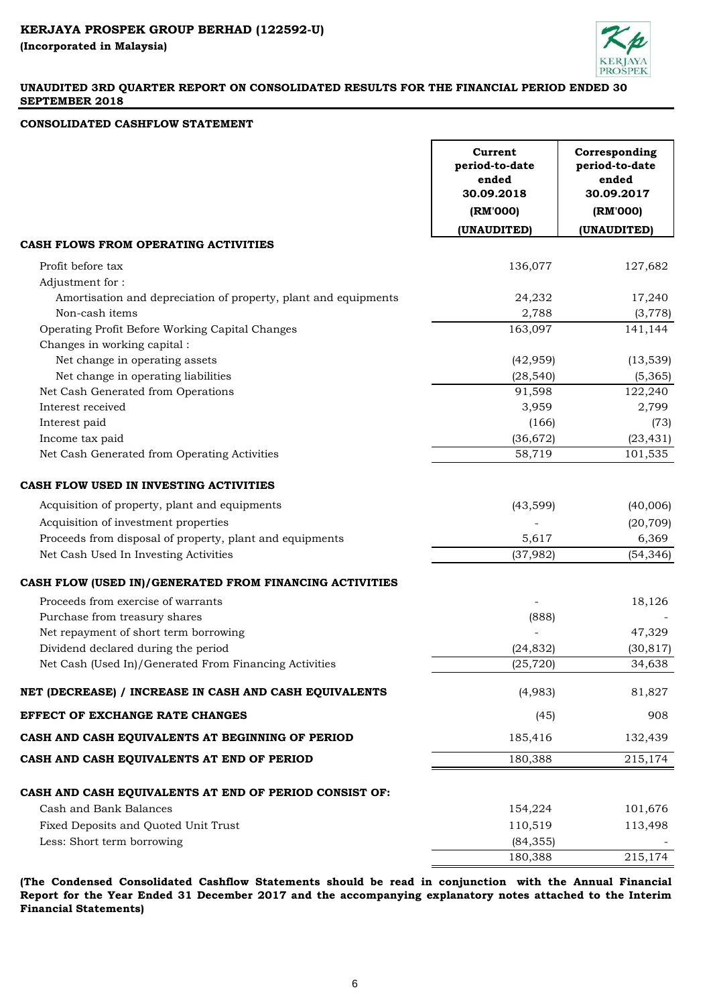

# **CONSOLIDATED CASHFLOW STATEMENT**

|                                                                 | Current<br>period-to-date<br>ended<br>30.09.2018 | Corresponding<br>period-to-date<br>ended<br>30.09.2017 |
|-----------------------------------------------------------------|--------------------------------------------------|--------------------------------------------------------|
|                                                                 | (RM'000)                                         | (RM'000)                                               |
|                                                                 | (UNAUDITED)                                      | (UNAUDITED)                                            |
| CASH FLOWS FROM OPERATING ACTIVITIES                            |                                                  |                                                        |
| Profit before tax                                               | 136,077                                          | 127,682                                                |
| Adjustment for:                                                 |                                                  |                                                        |
| Amortisation and depreciation of property, plant and equipments | 24,232                                           | 17,240                                                 |
| Non-cash items                                                  | 2,788                                            | (3, 778)                                               |
| Operating Profit Before Working Capital Changes                 | 163,097                                          | 141,144                                                |
| Changes in working capital :                                    |                                                  |                                                        |
| Net change in operating assets                                  | (42, 959)                                        | (13, 539)                                              |
| Net change in operating liabilities                             | (28, 540)                                        | (5,365)                                                |
| Net Cash Generated from Operations                              | 91,598                                           | 122,240                                                |
| Interest received                                               | 3,959                                            | 2,799                                                  |
| Interest paid                                                   | (166)                                            | (73)                                                   |
| Income tax paid                                                 | (36, 672)                                        | (23, 431)                                              |
| Net Cash Generated from Operating Activities                    | 58,719                                           | 101,535                                                |
| CASH FLOW USED IN INVESTING ACTIVITIES                          |                                                  |                                                        |
| Acquisition of property, plant and equipments                   | (43, 599)                                        | (40,006)                                               |
| Acquisition of investment properties                            |                                                  | (20, 709)                                              |
| Proceeds from disposal of property, plant and equipments        | 5,617                                            | 6,369                                                  |
| Net Cash Used In Investing Activities                           | (37, 982)                                        | (54, 346)                                              |
| CASH FLOW (USED IN)/GENERATED FROM FINANCING ACTIVITIES         |                                                  |                                                        |
| Proceeds from exercise of warrants                              |                                                  | 18,126                                                 |
| Purchase from treasury shares                                   | (888)                                            |                                                        |
| Net repayment of short term borrowing                           |                                                  | 47,329                                                 |
| Dividend declared during the period                             | (24, 832)                                        | (30, 817)                                              |
| Net Cash (Used In)/Generated From Financing Activities          | (25, 720)                                        | 34,638                                                 |
| NET (DECREASE) / INCREASE IN CASH AND CASH EQUIVALENTS          | (4,983)                                          | 81,827                                                 |
| EFFECT OF EXCHANGE RATE CHANGES                                 | (45)                                             | 908                                                    |
| CASH AND CASH EQUIVALENTS AT BEGINNING OF PERIOD                | 185,416                                          | 132,439                                                |
| CASH AND CASH EQUIVALENTS AT END OF PERIOD                      | 180,388                                          | 215,174                                                |
| CASH AND CASH EQUIVALENTS AT END OF PERIOD CONSIST OF:          |                                                  |                                                        |
| Cash and Bank Balances                                          | 154,224                                          | 101,676                                                |
| Fixed Deposits and Quoted Unit Trust                            | 110,519                                          | 113,498                                                |
| Less: Short term borrowing                                      | (84, 355)                                        |                                                        |
|                                                                 | 180,388                                          | 215,174                                                |
|                                                                 |                                                  |                                                        |

**(The Condensed Consolidated Cashflow Statements should be read in conjunction with the Annual Financial Report for the Year Ended 31 December 2017 and the accompanying explanatory notes attached to the Interim Financial Statements)**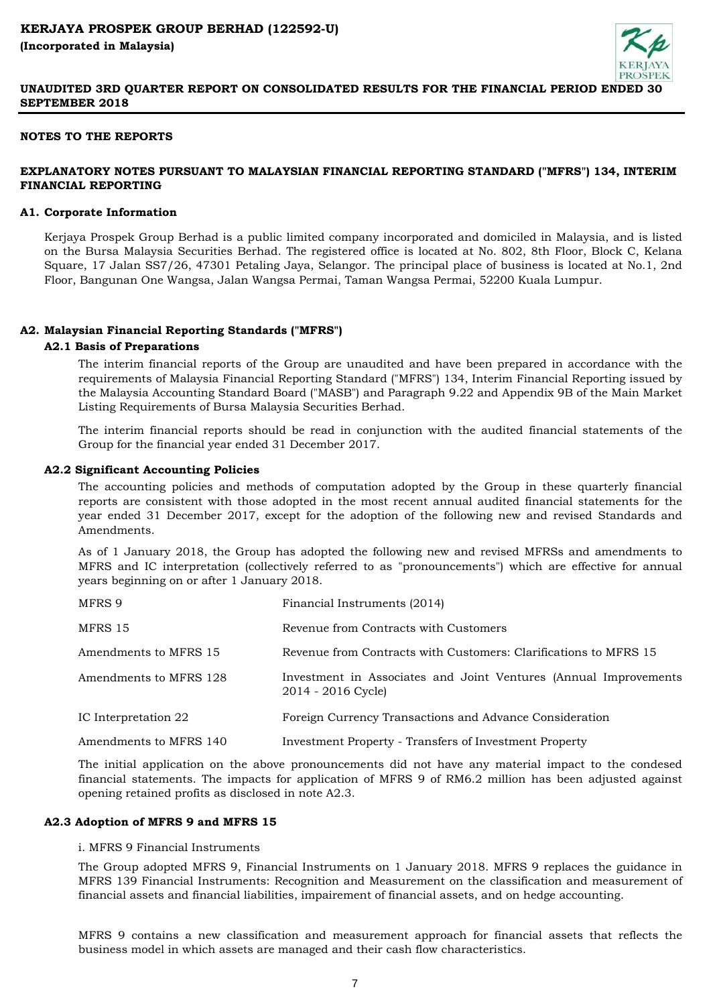## **NOTES TO THE REPORTS**

# **EXPLANATORY NOTES PURSUANT TO MALAYSIAN FINANCIAL REPORTING STANDARD ("MFRS") 134, INTERIM FINANCIAL REPORTING**

#### **A1. Corporate Information**

Kerjaya Prospek Group Berhad is a public limited company incorporated and domiciled in Malaysia, and is listed on the Bursa Malaysia Securities Berhad. The registered office is located at No. 802, 8th Floor, Block C, Kelana Square, 17 Jalan SS7/26, 47301 Petaling Jaya, Selangor. The principal place of business is located at No.1, 2nd Floor, Bangunan One Wangsa, Jalan Wangsa Permai, Taman Wangsa Permai, 52200 Kuala Lumpur.

### **A2. Malaysian Financial Reporting Standards ("MFRS")**

#### **A2.1 Basis of Preparations**

The interim financial reports of the Group are unaudited and have been prepared in accordance with the requirements of Malaysia Financial Reporting Standard ("MFRS") 134, Interim Financial Reporting issued by the Malaysia Accounting Standard Board ("MASB") and Paragraph 9.22 and Appendix 9B of the Main Market Listing Requirements of Bursa Malaysia Securities Berhad.

The interim financial reports should be read in conjunction with the audited financial statements of the Group for the financial year ended 31 December 2017.

#### **A2.2 Significant Accounting Policies**

The accounting policies and methods of computation adopted by the Group in these quarterly financial reports are consistent with those adopted in the most recent annual audited financial statements for the year ended 31 December 2017, except for the adoption of the following new and revised Standards and Amendments.

As of 1 January 2018, the Group has adopted the following new and revised MFRSs and amendments to MFRS and IC interpretation (collectively referred to as "pronouncements") which are effective for annual years beginning on or after 1 January 2018.

| MFRS 9                 | Financial Instruments (2014)                                                           |
|------------------------|----------------------------------------------------------------------------------------|
| MFRS 15                | Revenue from Contracts with Customers                                                  |
| Amendments to MFRS 15  | Revenue from Contracts with Customers: Clarifications to MFRS 15                       |
| Amendments to MFRS 128 | Investment in Associates and Joint Ventures (Annual Improvements<br>2014 - 2016 Cycle) |
| IC Interpretation 22   | Foreign Currency Transactions and Advance Consideration                                |
| Amendments to MFRS 140 | <b>Investment Property - Transfers of Investment Property</b>                          |

The initial application on the above pronouncements did not have any material impact to the condesed financial statements. The impacts for application of MFRS 9 of RM6.2 million has been adjusted against opening retained profits as disclosed in note A2.3.

### **A2.3 Adoption of MFRS 9 and MFRS 15**

i. MFRS 9 Financial Instruments

The Group adopted MFRS 9, Financial Instruments on 1 January 2018. MFRS 9 replaces the guidance in MFRS 139 Financial Instruments: Recognition and Measurement on the classification and measurement of financial assets and financial liabilities, impairement of financial assets, and on hedge accounting.

MFRS 9 contains a new classification and measurement approach for financial assets that reflects the business model in which assets are managed and their cash flow characteristics.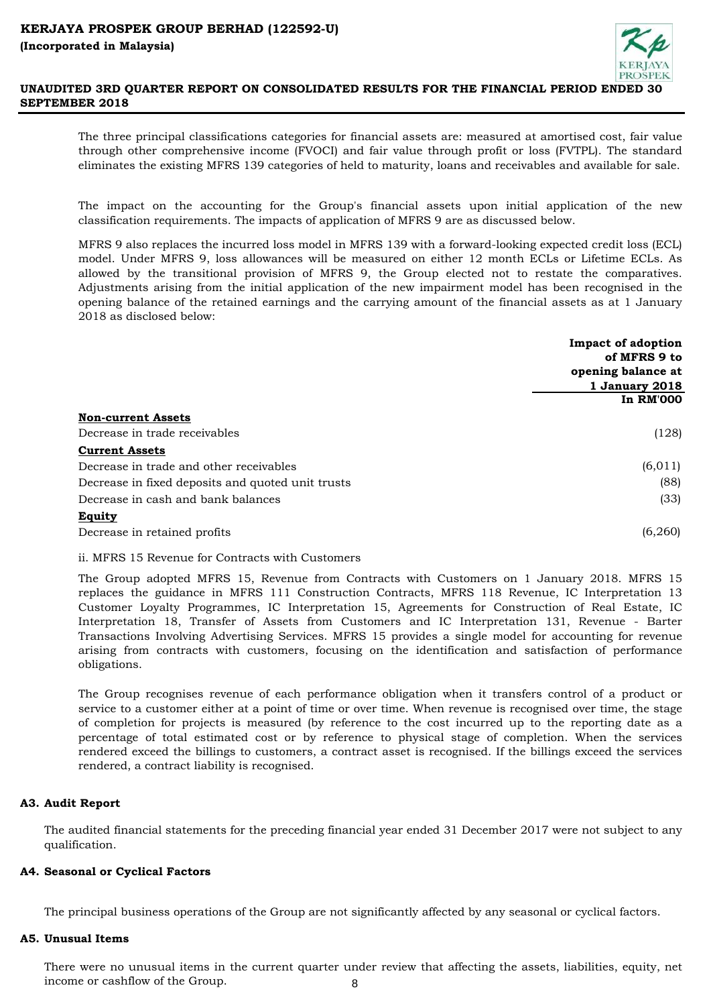

The three principal classifications categories for financial assets are: measured at amortised cost, fair value through other comprehensive income (FVOCI) and fair value through profit or loss (FVTPL). The standard eliminates the existing MFRS 139 categories of held to maturity, loans and receivables and available for sale.

The impact on the accounting for the Group's financial assets upon initial application of the new classification requirements. The impacts of application of MFRS 9 are as discussed below.

MFRS 9 also replaces the incurred loss model in MFRS 139 with a forward-looking expected credit loss (ECL) model. Under MFRS 9, loss allowances will be measured on either 12 month ECLs or Lifetime ECLs. As allowed by the transitional provision of MFRS 9, the Group elected not to restate the comparatives. Adjustments arising from the initial application of the new impairment model has been recognised in the opening balance of the retained earnings and the carrying amount of the financial assets as at 1 January 2018 as disclosed below:

|                                                   | <b>Impact of adoption</b> |
|---------------------------------------------------|---------------------------|
|                                                   | of MFRS 9 to              |
|                                                   | opening balance at        |
|                                                   | <b>1 January 2018</b>     |
|                                                   | <b>In RM'000</b>          |
| <b>Non-current Assets</b>                         |                           |
| Decrease in trade receivables                     | (128)                     |
| <b>Current Assets</b>                             |                           |
| Decrease in trade and other receivables           | (6, 011)                  |
| Decrease in fixed deposits and quoted unit trusts | (88)                      |
| Decrease in cash and bank balances                | (33)                      |
| Equity                                            |                           |
| Decrease in retained profits                      | (6,260)                   |

ii. MFRS 15 Revenue for Contracts with Customers

The Group adopted MFRS 15, Revenue from Contracts with Customers on 1 January 2018. MFRS 15 replaces the guidance in MFRS 111 Construction Contracts, MFRS 118 Revenue, IC Interpretation 13 Customer Loyalty Programmes, IC Interpretation 15, Agreements for Construction of Real Estate, IC Interpretation 18, Transfer of Assets from Customers and IC Interpretation 131, Revenue - Barter Transactions Involving Advertising Services. MFRS 15 provides a single model for accounting for revenue arising from contracts with customers, focusing on the identification and satisfaction of performance obligations.

The Group recognises revenue of each performance obligation when it transfers control of a product or service to a customer either at a point of time or over time. When revenue is recognised over time, the stage of completion for projects is measured (by reference to the cost incurred up to the reporting date as a percentage of total estimated cost or by reference to physical stage of completion. When the services rendered exceed the billings to customers, a contract asset is recognised. If the billings exceed the services rendered, a contract liability is recognised.

# **A3. Audit Report**

The audited financial statements for the preceding financial year ended 31 December 2017 were not subject to any qualification.

# **A4. Seasonal or Cyclical Factors**

The principal business operations of the Group are not significantly affected by any seasonal or cyclical factors.

#### **A5. Unusual Items**

There were no unusual items in the current quarter under review that affecting the assets, liabilities, equity, net income or cashflow of the Group. 8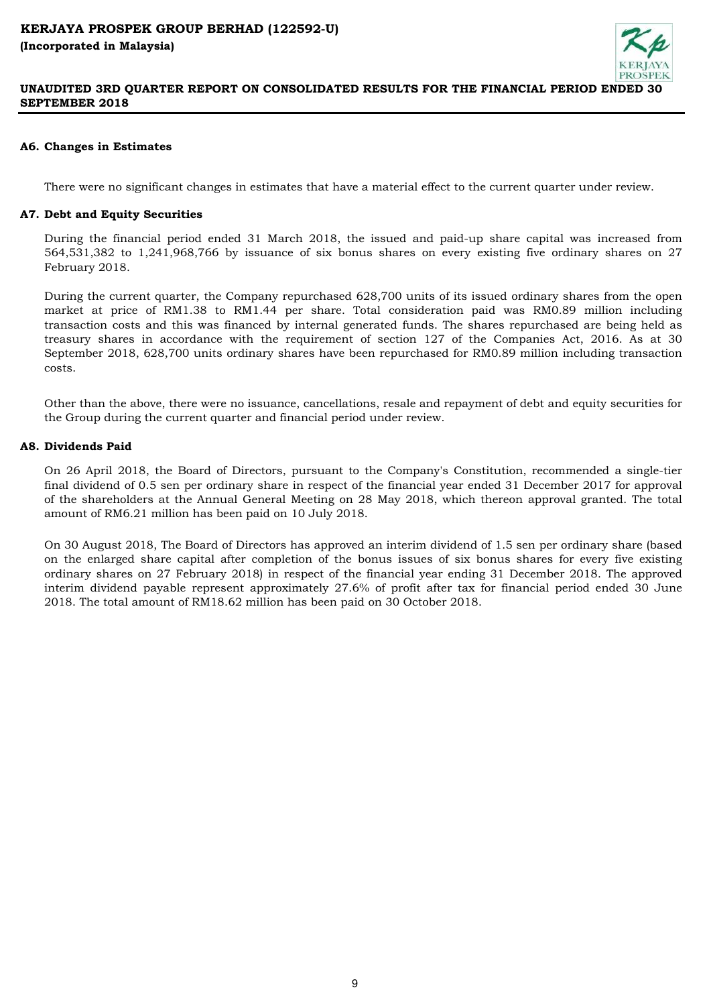# **A6. Changes in Estimates**

There were no significant changes in estimates that have a material effect to the current quarter under review.

## **A7. Debt and Equity Securities**

During the financial period ended 31 March 2018, the issued and paid-up share capital was increased from 564,531,382 to 1,241,968,766 by issuance of six bonus shares on every existing five ordinary shares on 27 February 2018.

During the current quarter, the Company repurchased 628,700 units of its issued ordinary shares from the open market at price of RM1.38 to RM1.44 per share. Total consideration paid was RM0.89 million including transaction costs and this was financed by internal generated funds. The shares repurchased are being held as treasury shares in accordance with the requirement of section 127 of the Companies Act, 2016. As at 30 September 2018, 628,700 units ordinary shares have been repurchased for RM0.89 million including transaction costs.

Other than the above, there were no issuance, cancellations, resale and repayment of debt and equity securities for the Group during the current quarter and financial period under review.

### **A8. Dividends Paid**

On 26 April 2018, the Board of Directors, pursuant to the Company's Constitution, recommended a single-tier final dividend of 0.5 sen per ordinary share in respect of the financial year ended 31 December 2017 for approval of the shareholders at the Annual General Meeting on 28 May 2018, which thereon approval granted. The total amount of RM6.21 million has been paid on 10 July 2018.

On 30 August 2018, The Board of Directors has approved an interim dividend of 1.5 sen per ordinary share (based on the enlarged share capital after completion of the bonus issues of six bonus shares for every five existing ordinary shares on 27 February 2018) in respect of the financial year ending 31 December 2018. The approved interim dividend payable represent approximately 27.6% of profit after tax for financial period ended 30 June 2018. The total amount of RM18.62 million has been paid on 30 October 2018.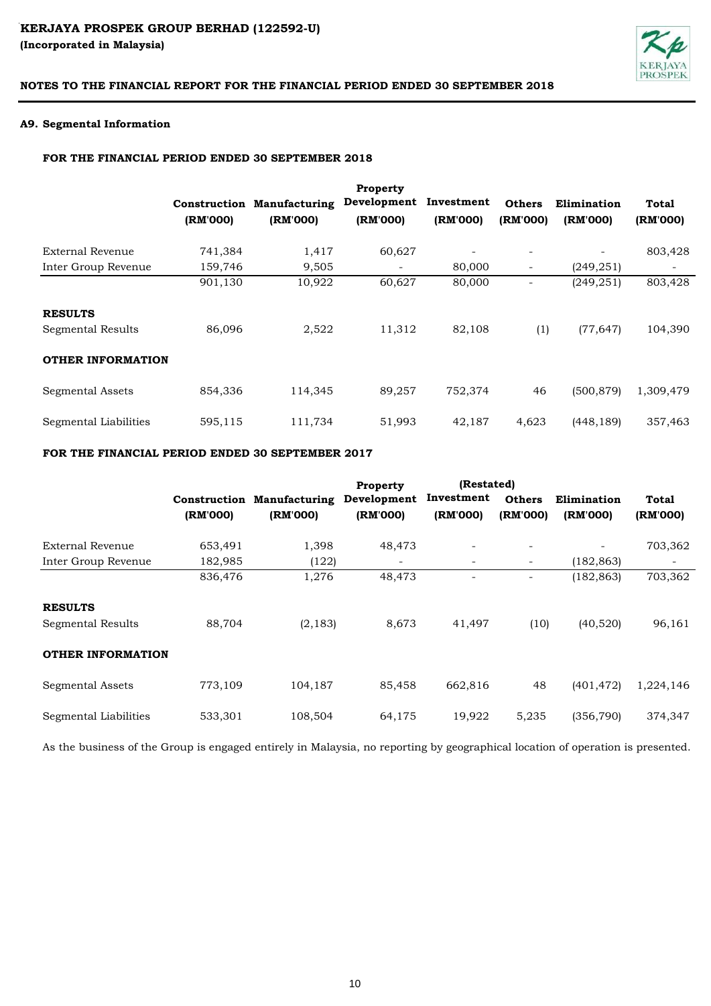# KERJAYA PROSPEK GROUP BERHAD (122592-U) **(Incorporated in Malaysia)**



# **NOTES TO THE FINANCIAL REPORT FOR THE FINANCIAL PERIOD ENDED 30 SEPTEMBER 2018**

# **A9. Segmental Information**

#### **FOR THE FINANCIAL PERIOD ENDED 30 SEPTEMBER 2018**

|                                     | (RM'000) | <b>Construction Manufacturing</b><br>(RM'000) | <b>Property</b><br>Development<br>(RM'000) | Investment<br>(RM'000) | <b>Others</b><br>(RM'000) | Elimination<br>(RM'000) | Total<br>(RM'000) |
|-------------------------------------|----------|-----------------------------------------------|--------------------------------------------|------------------------|---------------------------|-------------------------|-------------------|
| External Revenue                    | 741,384  | 1,417                                         | 60,627                                     |                        |                           |                         | 803,428           |
| Inter Group Revenue                 | 159,746  | 9,505                                         |                                            | 80,000                 | -                         | (249, 251)              |                   |
|                                     | 901,130  | 10,922                                        | 60,627                                     | 80,000                 |                           | (249, 251)              | 803,428           |
| <b>RESULTS</b><br>Segmental Results | 86.096   | 2,522                                         | 11,312                                     | 82,108                 | (1)                       | (77, 647)               | 104,390           |
| <b>OTHER INFORMATION</b>            |          |                                               |                                            |                        |                           |                         |                   |
| Segmental Assets                    | 854,336  | 114,345                                       | 89,257                                     | 752,374                | 46                        | (500, 879)              | 1,309,479         |
| Segmental Liabilities               | 595,115  | 111,734                                       | 51,993                                     | 42,187                 | 4,623                     | (448, 189)              | 357,463           |

# **FOR THE FINANCIAL PERIOD ENDED 30 SEPTEMBER 2017**

|                          |          |                                   | <b>Property</b> | (Restated) |                          |             |           |
|--------------------------|----------|-----------------------------------|-----------------|------------|--------------------------|-------------|-----------|
|                          |          | <b>Construction Manufacturing</b> | Development     | Investment | <b>Others</b>            | Elimination | Total     |
|                          | (RM'000) | (RM'000)                          | (RM'000)        | (RM'000)   | (RM'000)                 | (RM'000)    | (RM'000)  |
| External Revenue         | 653,491  | 1,398                             | 48,473          |            | -                        |             | 703,362   |
| Inter Group Revenue      | 182,985  | (122)                             |                 |            | $\overline{\phantom{a}}$ | (182, 863)  |           |
|                          | 836,476  | 1,276                             | 48,473          |            | ۰                        | (182, 863)  | 703,362   |
| <b>RESULTS</b>           |          |                                   |                 |            |                          |             |           |
| Segmental Results        | 88,704   | (2, 183)                          | 8,673           | 41,497     | (10)                     | (40,520)    | 96,161    |
| <b>OTHER INFORMATION</b> |          |                                   |                 |            |                          |             |           |
| Segmental Assets         | 773,109  | 104,187                           | 85,458          | 662,816    | 48                       | (401, 472)  | 1,224,146 |
| Segmental Liabilities    | 533,301  | 108,504                           | 64,175          | 19,922     | 5,235                    | (356, 790)  | 374,347   |

As the business of the Group is engaged entirely in Malaysia, no reporting by geographical location of operation is presented.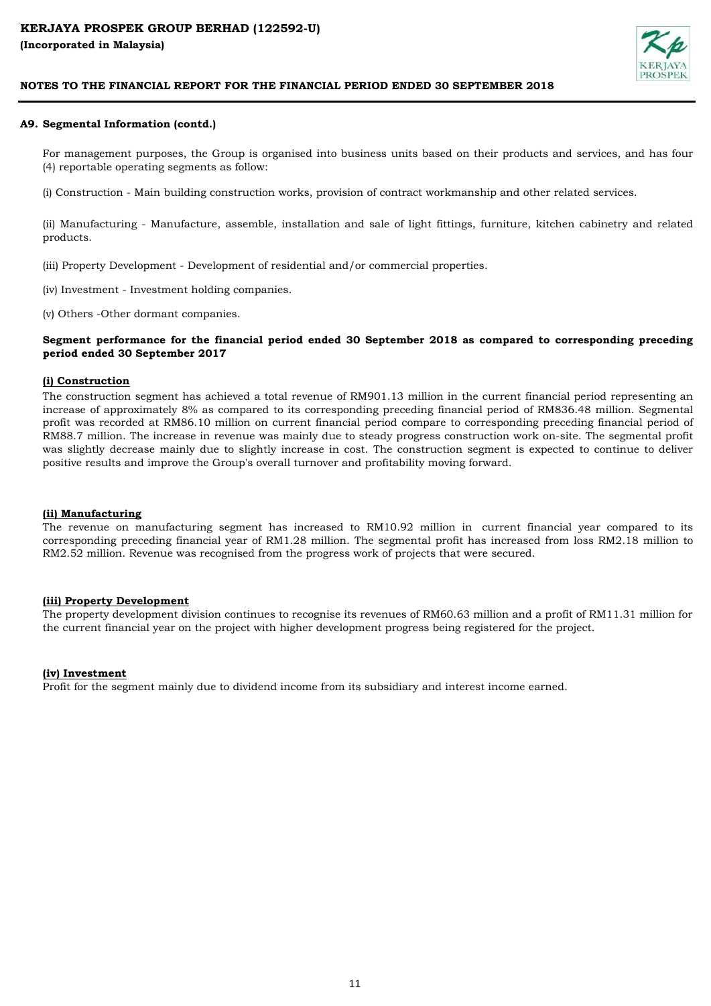

#### **A9. Segmental Information (contd.)**

For management purposes, the Group is organised into business units based on their products and services, and has four (4) reportable operating segments as follow:

(i) Construction - Main building construction works, provision of contract workmanship and other related services.

(ii) Manufacturing - Manufacture, assemble, installation and sale of light fittings, furniture, kitchen cabinetry and related products.

(iii) Property Development - Development of residential and/or commercial properties.

(iv) Investment - Investment holding companies.

(v) Others -Other dormant companies.

#### **Segment performance for the financial period ended 30 September 2018 as compared to corresponding preceding period ended 30 September 2017**

#### **(i) Construction**

The construction segment has achieved a total revenue of RM901.13 million in the current financial period representing an increase of approximately 8% as compared to its corresponding preceding financial period of RM836.48 million. Segmental profit was recorded at RM86.10 million on current financial period compare to corresponding preceding financial period of RM88.7 million. The increase in revenue was mainly due to steady progress construction work on-site. The segmental profit was slightly decrease mainly due to slightly increase in cost. The construction segment is expected to continue to deliver positive results and improve the Group's overall turnover and profitability moving forward.

#### **(ii) Manufacturing**

The revenue on manufacturing segment has increased to RM10.92 million in current financial year compared to its corresponding preceding financial year of RM1.28 million. The segmental profit has increased from loss RM2.18 million to RM2.52 million. Revenue was recognised from the progress work of projects that were secured.

#### **(iii) Property Development**

The property development division continues to recognise its revenues of RM60.63 million and a profit of RM11.31 million for the current financial year on the project with higher development progress being registered for the project.

#### **(iv) Investment**

Profit for the segment mainly due to dividend income from its subsidiary and interest income earned.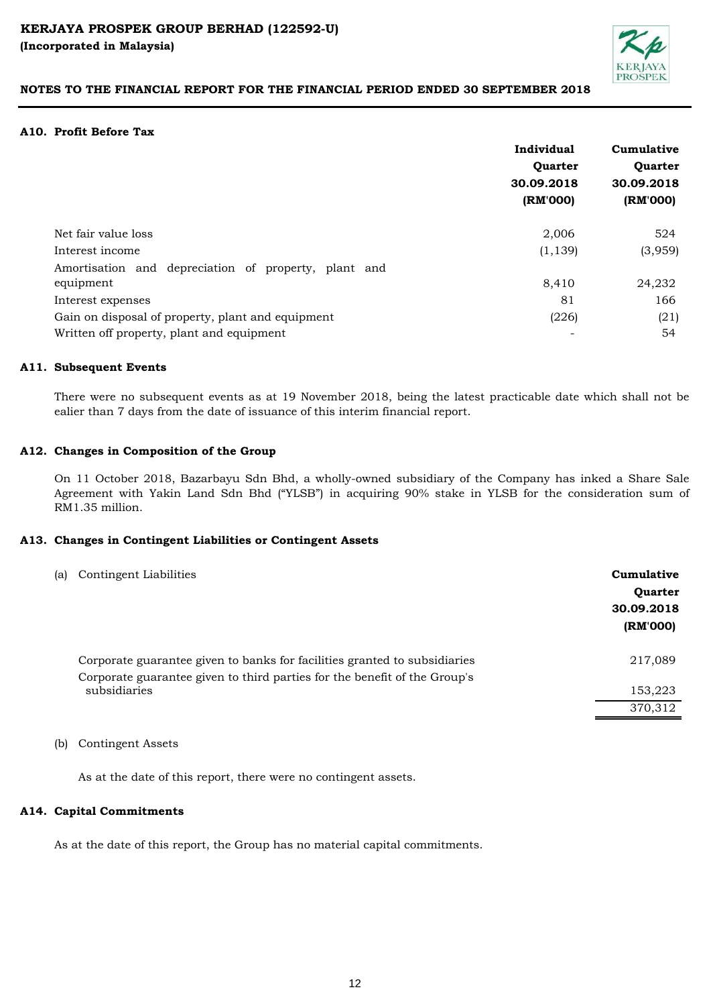

### **A10. Profit Before Tax**

| (RM'000) |
|----------|
| 524      |
| (3,959)  |
|          |
| 24,232   |
| 166      |
| (21)     |
| 54       |
|          |

### **A11. Subsequent Events**

There were no subsequent events as at 19 November 2018, being the latest practicable date which shall not be ealier than 7 days from the date of issuance of this interim financial report.

### **A12. Changes in Composition of the Group**

On 11 October 2018, Bazarbayu Sdn Bhd, a wholly-owned subsidiary of the Company has inked a Share Sale Agreement with Yakin Land Sdn Bhd ("YLSB") in acquiring 90% stake in YLSB for the consideration sum of RM1.35 million.

# **A13. Changes in Contingent Liabilities or Contingent Assets**

| (a) | Contingent Liabilities                                                                                                                                 | Cumulative<br><b>Ouarter</b><br>30.09.2018<br>(RM'000) |
|-----|--------------------------------------------------------------------------------------------------------------------------------------------------------|--------------------------------------------------------|
|     | Corporate guarantee given to banks for facilities granted to subsidiaries<br>Corporate guarantee given to third parties for the benefit of the Group's | 217,089                                                |
|     | subsidiaries                                                                                                                                           | 153,223                                                |
|     |                                                                                                                                                        | 370,312                                                |
|     |                                                                                                                                                        |                                                        |

(b) Contingent Assets

As at the date of this report, there were no contingent assets.

#### **A14. Capital Commitments**

As at the date of this report, the Group has no material capital commitments.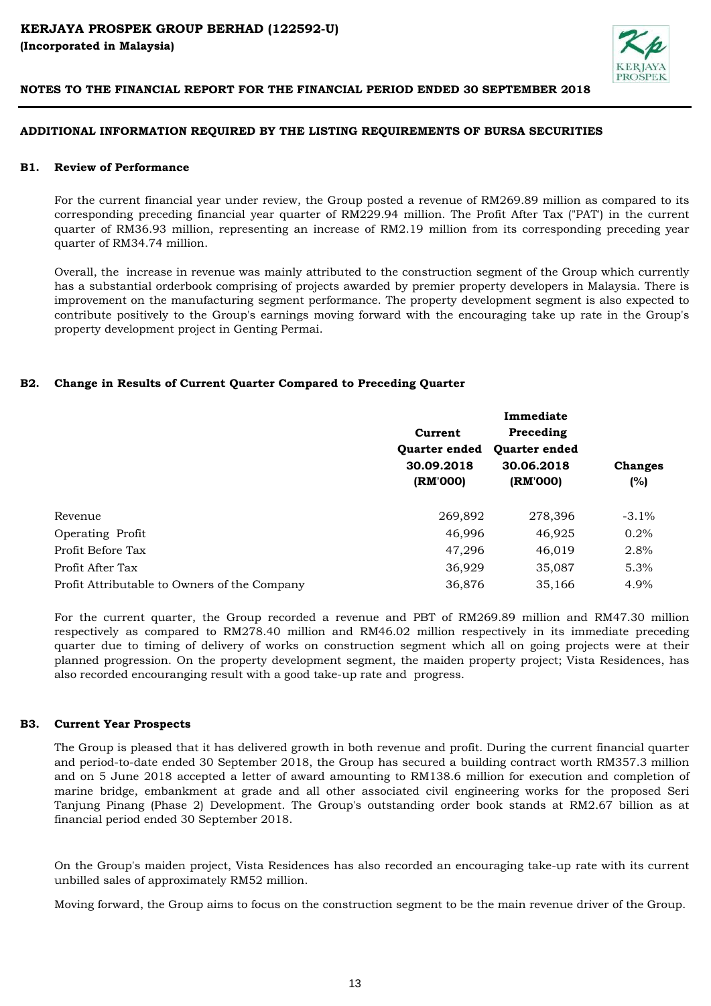

# **ADDITIONAL INFORMATION REQUIRED BY THE LISTING REQUIREMENTS OF BURSA SECURITIES**

#### **B1. Review of Performance**

For the current financial year under review, the Group posted a revenue of RM269.89 million as compared to its corresponding preceding financial year quarter of RM229.94 million. The Profit After Tax ("PAT') in the current quarter of RM36.93 million, representing an increase of RM2.19 million from its corresponding preceding year quarter of RM34.74 million.

Overall, the increase in revenue was mainly attributed to the construction segment of the Group which currently has a substantial orderbook comprising of projects awarded by premier property developers in Malaysia. There is improvement on the manufacturing segment performance. The property development segment is also expected to contribute positively to the Group's earnings moving forward with the encouraging take up rate in the Group's property development project in Genting Permai.

# **B2. Change in Results of Current Quarter Compared to Preceding Quarter**

|                                              | Current<br><b>Ouarter ended</b><br>30.09.2018<br>(RM'000) | Immediate<br>Preceding<br><b>Ouarter ended</b><br>30.06.2018<br>(RM'000) | <b>Changes</b><br>(%) |
|----------------------------------------------|-----------------------------------------------------------|--------------------------------------------------------------------------|-----------------------|
| Revenue                                      | 269,892                                                   | 278,396                                                                  | $-3.1\%$              |
| Operating Profit                             | 46,996                                                    | 46.925                                                                   | 0.2%                  |
| Profit Before Tax                            | 47,296                                                    | 46,019                                                                   | 2.8%                  |
| Profit After Tax                             | 36,929                                                    | 35,087                                                                   | 5.3%                  |
| Profit Attributable to Owners of the Company | 36,876                                                    | 35,166                                                                   | 4.9%                  |

For the current quarter, the Group recorded a revenue and PBT of RM269.89 million and RM47.30 million respectively as compared to RM278.40 million and RM46.02 million respectively in its immediate preceding quarter due to timing of delivery of works on construction segment which all on going projects were at their planned progression. On the property development segment, the maiden property project; Vista Residences, has also recorded encouranging result with a good take-up rate and progress.

#### **B3. Current Year Prospects**

The Group is pleased that it has delivered growth in both revenue and profit. During the current financial quarter and period-to-date ended 30 September 2018, the Group has secured a building contract worth RM357.3 million and on 5 June 2018 accepted a letter of award amounting to RM138.6 million for execution and completion of marine bridge, embankment at grade and all other associated civil engineering works for the proposed Seri Tanjung Pinang (Phase 2) Development. The Group's outstanding order book stands at RM2.67 billion as at financial period ended 30 September 2018.

On the Group's maiden project, Vista Residences has also recorded an encouraging take-up rate with its current unbilled sales of approximately RM52 million.

Moving forward, the Group aims to focus on the construction segment to be the main revenue driver of the Group.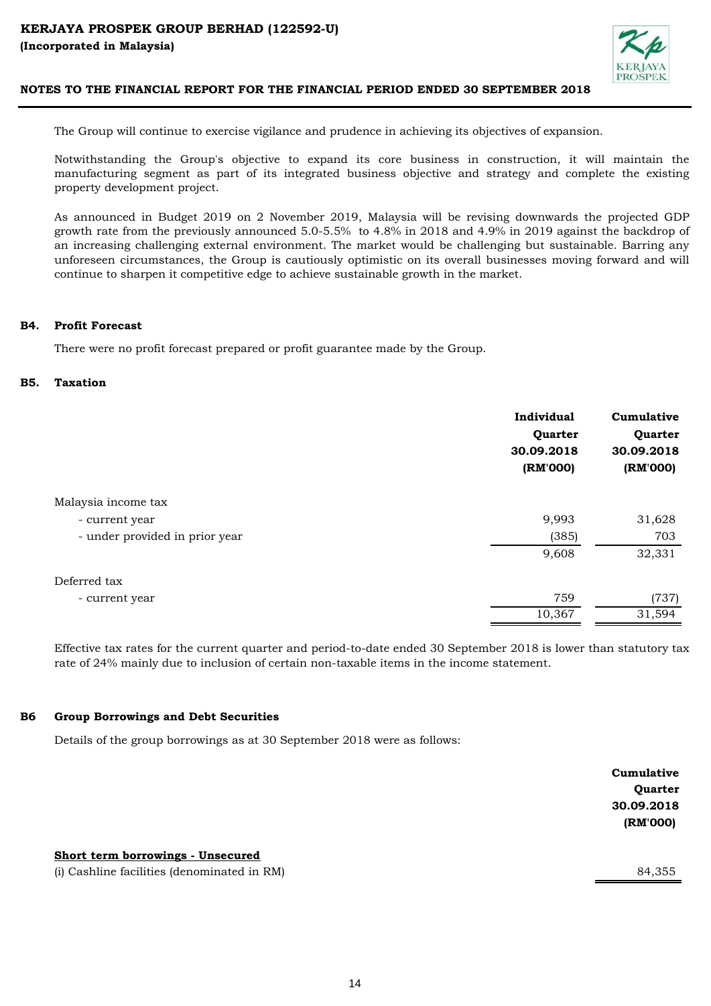

The Group will continue to exercise vigilance and prudence in achieving its objectives of expansion.

Notwithstanding the Group's objective to expand its core business in construction, it will maintain the manufacturing segment as part of its integrated business objective and strategy and complete the existing property development project.

As announced in Budget 2019 on 2 November 2019, Malaysia will be revising downwards the projected GDP growth rate from the previously announced 5.0-5.5% to 4.8% in 2018 and 4.9% in 2019 against the backdrop of an increasing challenging external environment. The market would be challenging but sustainable. Barring any unforeseen circumstances, the Group is cautiously optimistic on its overall businesses moving forward and will continue to sharpen it competitive edge to achieve sustainable growth in the market.

#### **B4. Profit Forecast**

There were no profit forecast prepared or profit guarantee made by the Group.

#### **B5. Taxation**

|                                | Individual<br>Quarter<br>30.09.2018<br>(RM'000) | Cumulative<br>Quarter<br>30.09.2018<br>(RM'000) |
|--------------------------------|-------------------------------------------------|-------------------------------------------------|
| Malaysia income tax            |                                                 |                                                 |
| - current year                 | 9,993                                           | 31,628                                          |
| - under provided in prior year | (385)                                           | 703                                             |
|                                | 9,608                                           | 32,331                                          |
| Deferred tax                   |                                                 |                                                 |
| - current year                 | 759                                             | (737)                                           |
|                                | 10,367                                          | 31,594                                          |

Effective tax rates for the current quarter and period-to-date ended 30 September 2018 is lower than statutory tax rate of 24% mainly due to inclusion of certain non-taxable items in the income statement.

#### **B6 Group Borrowings and Debt Securities**

Details of the group borrowings as at 30 September 2018 were as follows:

|                                             | Cumulative     |
|---------------------------------------------|----------------|
|                                             | <b>Quarter</b> |
|                                             | 30.09.2018     |
|                                             | (RM'000)       |
|                                             |                |
| Short term borrowings - Unsecured           |                |
| (i) Cashline facilities (denominated in RM) | 84,355         |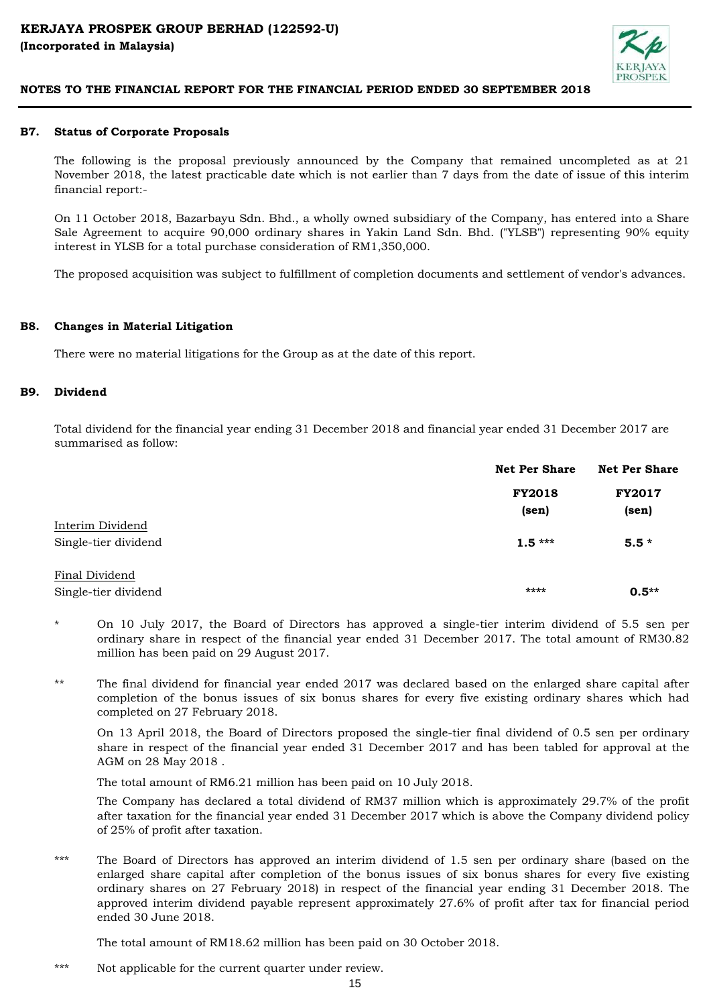

#### **B7. Status of Corporate Proposals**

The following is the proposal previously announced by the Company that remained uncompleted as at 21 November 2018, the latest practicable date which is not earlier than 7 days from the date of issue of this interim financial report:-

On 11 October 2018, Bazarbayu Sdn. Bhd., a wholly owned subsidiary of the Company, has entered into a Share Sale Agreement to acquire 90,000 ordinary shares in Yakin Land Sdn. Bhd. ("YLSB") representing 90% equity interest in YLSB for a total purchase consideration of RM1,350,000.

The proposed acquisition was subject to fulfillment of completion documents and settlement of vendor's advances.

#### **B8. Changes in Material Litigation**

There were no material litigations for the Group as at the date of this report.

#### **B9. Dividend**

Total dividend for the financial year ending 31 December 2018 and financial year ended 31 December 2017 are summarised as follow:

|                      | <b>Net Per Share</b> | <b>Net Per Share</b> |
|----------------------|----------------------|----------------------|
|                      | <b>FY2018</b>        | <b>FY2017</b>        |
|                      | (sen)                | (sen)                |
| Interim Dividend     |                      |                      |
| Single-tier dividend | $1.5***$             | $5.5*$               |
| Final Dividend       |                      |                      |
| Single-tier dividend | ****                 | $0.5**$              |

- \* On 10 July 2017, the Board of Directors has approved a single-tier interim dividend of 5.5 sen per ordinary share in respect of the financial year ended 31 December 2017. The total amount of RM30.82 million has been paid on 29 August 2017.
- \*\* The final dividend for financial year ended 2017 was declared based on the enlarged share capital after completion of the bonus issues of six bonus shares for every five existing ordinary shares which had completed on 27 February 2018.

On 13 April 2018, the Board of Directors proposed the single-tier final dividend of 0.5 sen per ordinary share in respect of the financial year ended 31 December 2017 and has been tabled for approval at the AGM on 28 May 2018 .

The total amount of RM6.21 million has been paid on 10 July 2018.

The Company has declared a total dividend of RM37 million which is approximately 29.7% of the profit after taxation for the financial year ended 31 December 2017 which is above the Company dividend policy of 25% of profit after taxation.

\*\*\* The Board of Directors has approved an interim dividend of 1.5 sen per ordinary share (based on the enlarged share capital after completion of the bonus issues of six bonus shares for every five existing ordinary shares on 27 February 2018) in respect of the financial year ending 31 December 2018. The approved interim dividend payable represent approximately 27.6% of profit after tax for financial period ended 30 June 2018.

The total amount of RM18.62 million has been paid on 30 October 2018.

\*\*\* Not applicable for the current quarter under review.